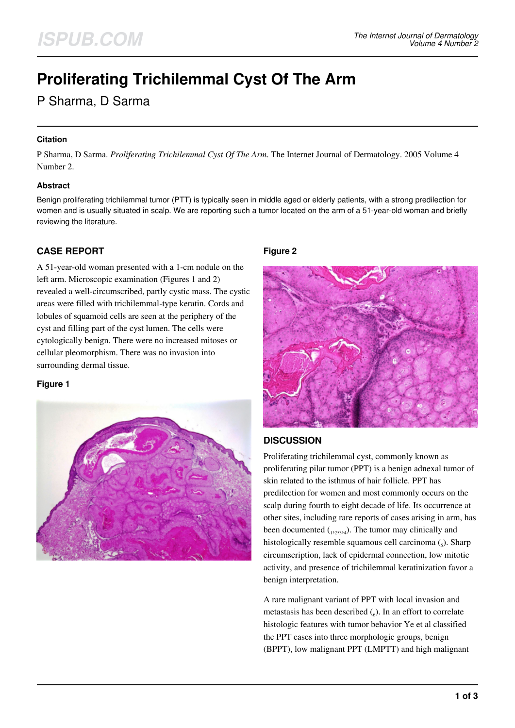# **Proliferating Trichilemmal Cyst Of The Arm**

P Sharma, D Sarma

## **Citation**

P Sharma, D Sarma. *Proliferating Trichilemmal Cyst Of The Arm*. The Internet Journal of Dermatology. 2005 Volume 4 Number 2.

### **Abstract**

Benign proliferating trichilemmal tumor (PTT) is typically seen in middle aged or elderly patients, with a strong predilection for women and is usually situated in scalp. We are reporting such a tumor located on the arm of a 51-year-old woman and briefly reviewing the literature.

## **CASE REPORT**

A 51-year-old woman presented with a 1-cm nodule on the left arm. Microscopic examination (Figures 1 and 2) revealed a well-circumscribed, partly cystic mass. The cystic areas were filled with trichilemmal-type keratin. Cords and lobules of squamoid cells are seen at the periphery of the cyst and filling part of the cyst lumen. The cells were cytologically benign. There were no increased mitoses or cellular pleomorphism. There was no invasion into surrounding dermal tissue.

## **Figure 1**



## **Figure 2**



## **DISCUSSION**

Proliferating trichilemmal cyst, commonly known as proliferating pilar tumor (PPT) is a benign adnexal tumor of skin related to the isthmus of hair follicle. PPT has predilection for women and most commonly occurs on the scalp during fourth to eight decade of life. Its occurrence at other sites, including rare reports of cases arising in arm, has been documented  $_{(1,2,3,4)}$ . The tumor may clinically and histologically resemble squamous cell carcinoma  $\zeta$ ). Sharp circumscription, lack of epidermal connection, low mitotic activity, and presence of trichilemmal keratinization favor a benign interpretation.

A rare malignant variant of PPT with local invasion and metastasis has been described  $\binom{6}{6}$ . In an effort to correlate histologic features with tumor behavior Ye et al classified the PPT cases into three morphologic groups, benign (BPPT), low malignant PPT (LMPTT) and high malignant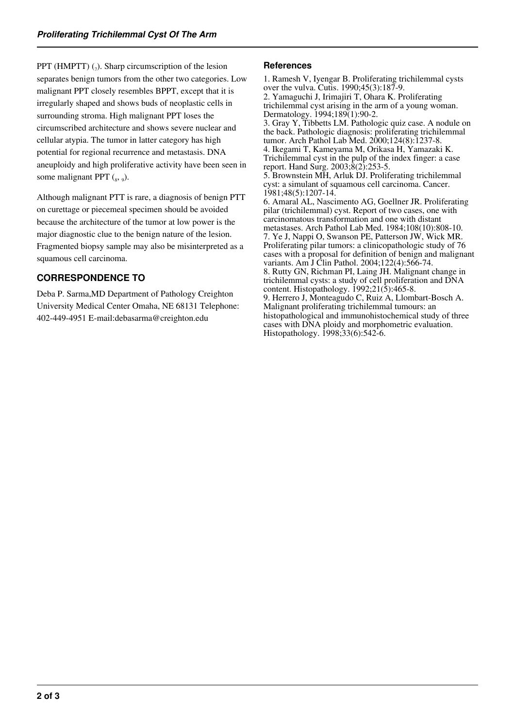PPT (HMPTT)  $_{(7)}$ . Sharp circumscription of the lesion separates benign tumors from the other two categories. Low malignant PPT closely resembles BPPT, except that it is irregularly shaped and shows buds of neoplastic cells in surrounding stroma. High malignant PPT loses the circumscribed architecture and shows severe nuclear and cellular atypia. The tumor in latter category has high potential for regional recurrence and metastasis. DNA aneuploidy and high proliferative activity have been seen in some malignant PPT  $({}_{8}, {}_{9})$ .

Although malignant PTT is rare, a diagnosis of benign PTT on curettage or piecemeal specimen should be avoided because the architecture of the tumor at low power is the major diagnostic clue to the benign nature of the lesion. Fragmented biopsy sample may also be misinterpreted as a squamous cell carcinoma.

## **CORRESPONDENCE TO**

Deba P. Sarma,MD Department of Pathology Creighton University Medical Center Omaha, NE 68131 Telephone: 402-449-4951 E-mail:debasarma@creighton.edu

## **References**

1. Ramesh V, Iyengar B. Proliferating trichilemmal cysts over the vulva. Cutis. 1990;45(3):187-9. 2. Yamaguchi J, Irimajiri T, Ohara K. Proliferating trichilemmal cyst arising in the arm of a young woman. Dermatology. 1994;189(1):90-2. 3. Gray Y, Tibbetts LM. Pathologic quiz case. A nodule on the back. Pathologic diagnosis: proliferating trichilemmal tumor. Arch Pathol Lab Med. 2000;124(8):1237-8. 4. Ikegami T, Kameyama M, Orikasa H, Yamazaki K. Trichilemmal cyst in the pulp of the index finger: a case report. Hand Surg. 2003;8(2):253-5. 5. Brownstein MH, Arluk DJ. Proliferating trichilemmal cyst: a simulant of squamous cell carcinoma. Cancer. 1981;48(5):1207-14. 6. Amaral AL, Nascimento AG, Goellner JR. Proliferating pilar (trichilemmal) cyst. Report of two cases, one with carcinomatous transformation and one with distant metastases. Arch Pathol Lab Med. 1984;108(10):808-10. 7. Ye J, Nappi O, Swanson PE, Patterson JW, Wick MR. Proliferating pilar tumors: a clinicopathologic study of 76 cases with a proposal for definition of benign and malignant variants. Am J Clin Pathol. 2004;122(4):566-74. 8. Rutty GN, Richman PI, Laing JH. Malignant change in trichilemmal cysts: a study of cell proliferation and DNA content. Histopathology.  $1992;21(5):465-8$ . 9. Herrero J, Monteagudo C, Ruiz A, Llombart-Bosch A. Malignant proliferating trichilemmal tumours: an histopathological and immunohistochemical study of three cases with DNA ploidy and morphometric evaluation. Histopathology. 1998;33(6):542-6.